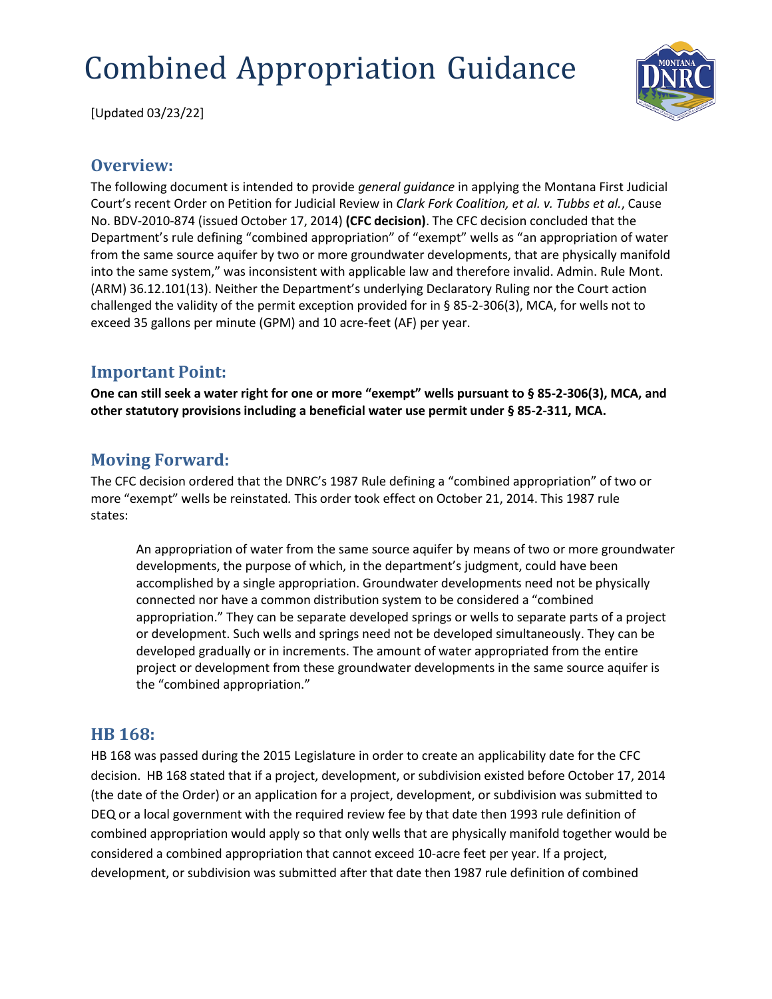# Combined Appropriation Guidance

[Updated 03/23/22]

#### **Overview:**

The following document is intended to provide *general guidance* in applying the Montana First Judicial Court's recent Order on Petition for Judicial Review in *Clark Fork Coalition, et al. v. Tubbs et al.*, Cause No. BDV‐2010‐874 (issued October 17, 2014) **(CFC decision)**. The CFC decision concluded that the Department's rule defining "combined appropriation" of "exempt" wells as "an appropriation of water from the same source aquifer by two or more groundwater developments, that are physically manifold into the same system," was inconsistent with applicable law and therefore invalid. Admin. Rule Mont. (ARM) 36.12.101(13). Neither the Department's underlying Declaratory Ruling nor the Court action challenged the validity of the permit exception provided for in § 85‐2‐306(3), MCA, for wells not to exceed 35 gallons per minute (GPM) and 10 acre‐feet (AF) per year.

#### **Important Point:**

**One can still seek a water right for one or more "exempt" wells pursuant to § 85‐2‐306(3), MCA, and other statutory provisions including a beneficial water use permit under § 85‐2‐311, MCA.**

## **Moving Forward:**

The CFC decision ordered that the DNRC's 1987 Rule defining a "combined appropriation" of two or more "exempt" wells be reinstated*.* This order took effect on October 21, 2014. This 1987 rule states:

An appropriation of water from the same source aquifer by means of two or more groundwater developments, the purpose of which, in the department's judgment, could have been accomplished by a single appropriation. Groundwater developments need not be physically connected nor have a common distribution system to be considered a "combined appropriation." They can be separate developed springs or wells to separate parts of a project or development. Such wells and springs need not be developed simultaneously. They can be developed gradually or in increments. The amount of water appropriated from the entire project or development from these groundwater developments in the same source aquifer is the "combined appropriation."

#### **HB 168:**

HB 168 was passed during the 2015 Legislature in order to create an applicability date for the CFC decision. HB 168 stated that if a project, development, or subdivision existed before October 17, 2014 (the date of the Order) or an application for a project, development, or subdivision was submitted to DEQ or a local government with the required review fee by that date then 1993 rule definition of combined appropriation would apply so that only wells that are physically manifold together would be considered a combined appropriation that cannot exceed 10-acre feet per year. If a project, development, or subdivision was submitted after that date then 1987 rule definition of combined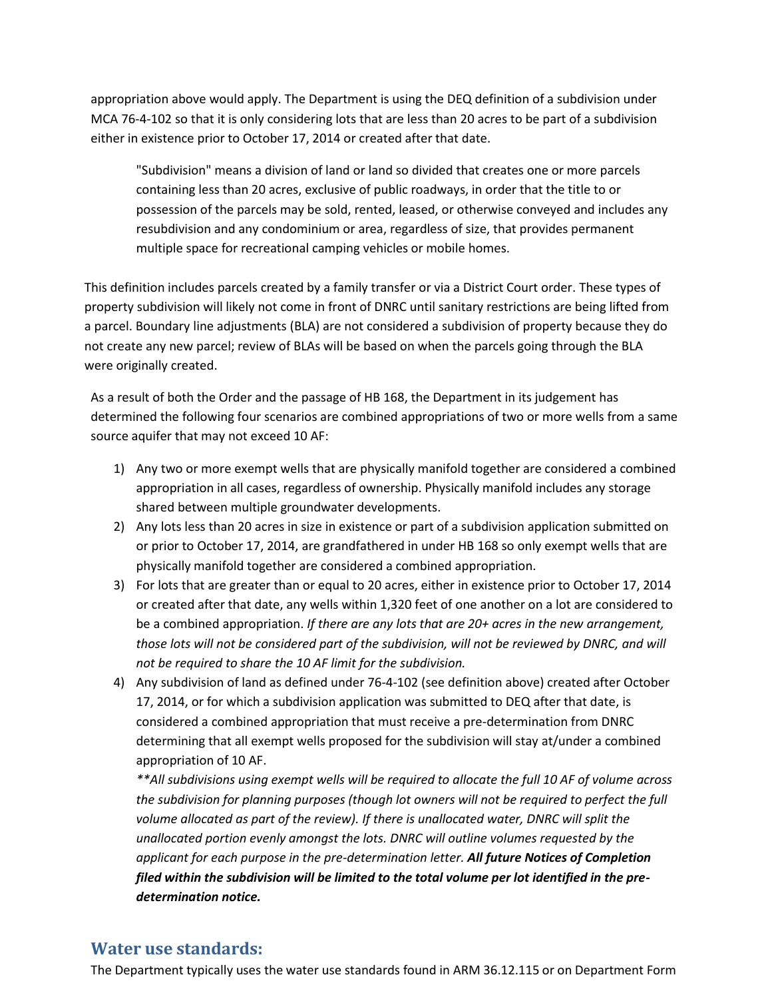appropriation above would apply. The Department is using the DEQ definition of a subdivision under MCA 76-4-102 so that it is only considering lots that are less than 20 acres to be part of a subdivision either in existence prior to October 17, 2014 or created after that date.

"Subdivision" means a division of land or land so divided that creates one or more parcels containing less than 20 acres, exclusive of public roadways, in order that the title to or possession of the parcels may be sold, rented, leased, or otherwise conveyed and includes any resubdivision and any condominium or area, regardless of size, that provides permanent multiple space for recreational camping vehicles or mobile homes.

This definition includes parcels created by a family transfer or via a District Court order. These types of property subdivision will likely not come in front of DNRC until sanitary restrictions are being lifted from a parcel. Boundary line adjustments (BLA) are not considered a subdivision of property because they do not create any new parcel; review of BLAs will be based on when the parcels going through the BLA were originally created.

As a result of both the Order and the passage of HB 168, the Department in its judgement has determined the following four scenarios are combined appropriations of two or more wells from a same source aquifer that may not exceed 10 AF:

- 1) Any two or more exempt wells that are physically manifold together are considered a combined appropriation in all cases, regardless of ownership. Physically manifold includes any storage shared between multiple groundwater developments.
- 2) Any lots less than 20 acres in size in existence or part of a subdivision application submitted on or prior to October 17, 2014, are grandfathered in under HB 168 so only exempt wells that are physically manifold together are considered a combined appropriation.
- 3) For lots that are greater than or equal to 20 acres, either in existence prior to October 17, 2014 or created after that date, any wells within 1,320 feet of one another on a lot are considered to be a combined appropriation. *If there are any lots that are 20+ acres in the new arrangement, those lots will not be considered part of the subdivision, will not be reviewed by DNRC, and will not be required to share the 10 AF limit for the subdivision.*
- 4) Any subdivision of land as defined under 76-4-102 (see definition above) created after October 17, 2014, or for which a subdivision application was submitted to DEQ after that date, is considered a combined appropriation that must receive a pre-determination from DNRC determining that all exempt wells proposed for the subdivision will stay at/under a combined appropriation of 10 AF.

*\*\*All subdivisions using exempt wells will be required to allocate the full 10 AF of volume across the subdivision for planning purposes (though lot owners will not be required to perfect the full volume allocated as part of the review). If there is unallocated water, DNRC will split the unallocated portion evenly amongst the lots. DNRC will outline volumes requested by the applicant for each purpose in the pre-determination letter. All future Notices of Completion filed within the subdivision will be limited to the total volume per lot identified in the predetermination notice.*

#### **Water use standards:**

The Department typically uses the water use standards found in ARM 36.12.115 or on Department Form